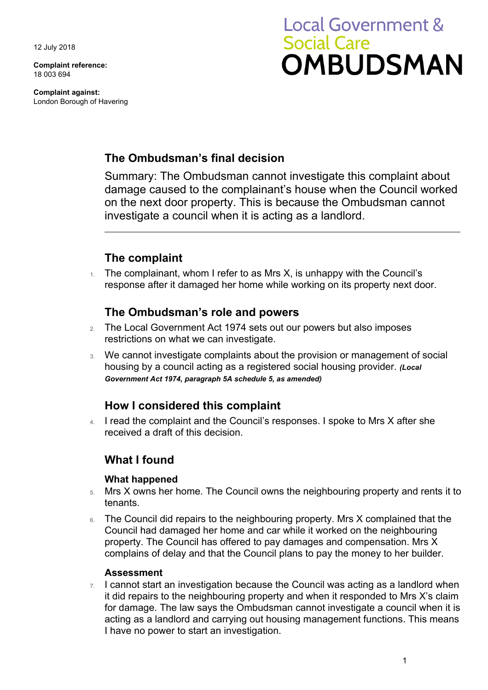12 July 2018

**Complaint reference:**  18 003 694

**Complaint against:**  London Borough of Havering

# **Local Government & Social Care OMBUDSMAN**

## **The Ombudsman's final decision**

Summary: The Ombudsman cannot investigate this complaint about damage caused to the complainant's house when the Council worked on the next door property. This is because the Ombudsman cannot investigate a council when it is acting as a landlord.

# **The complaint**

The complainant, whom I refer to as Mrs X, is unhappy with the Council's response after it damaged her home while working on its property next door.

## **The Ombudsman's role and powers**

- 2. The Local Government Act 1974 sets out our powers but also imposes restrictions on what we can investigate.
- 3. We cannot investigate complaints about the provision or management of social housing by a council acting as a registered social housing provider. *(Local Government Act 1974, paragraph 5A schedule 5, as amended)*

## **How I considered this complaint**

4. I read the complaint and the Council's responses. I spoke to Mrs X after she received a draft of this decision.

## **What I found**

#### **What happened**

- 5. Mrs X owns her home. The Council owns the neighbouring property and rents it to tenants.
- 6. The Council did repairs to the neighbouring property. Mrs X complained that the Council had damaged her home and car while it worked on the neighbouring property. The Council has offered to pay damages and compensation. Mrs X complains of delay and that the Council plans to pay the money to her builder.

#### **Assessment**

 $7.$  I cannot start an investigation because the Council was acting as a landlord when it did repairs to the neighbouring property and when it responded to Mrs X's claim for damage. The law says the Ombudsman cannot investigate a council when it is acting as a landlord and carrying out housing management functions. This means I have no power to start an investigation.